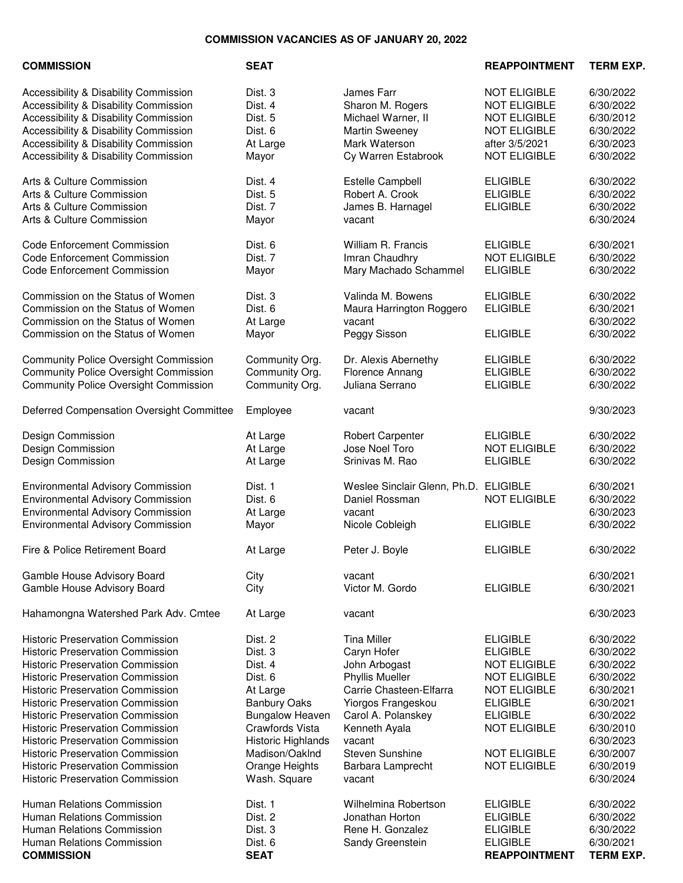## **COMMISSION VACANCIES AS OF JANUARY 20, 2022**

| <b>COMMISSION</b>                                                                                                                                                                                                                                                                                                                                                                                                                                                                                                                | <b>SEAT</b>                                                                                                                                                                                        |                                                                                                                                                                                                                                         | <b>REAPPOINTMENT</b>                                                                                                                                                                                               | <b>TERM EXP.</b>                                                                                                                                         |
|----------------------------------------------------------------------------------------------------------------------------------------------------------------------------------------------------------------------------------------------------------------------------------------------------------------------------------------------------------------------------------------------------------------------------------------------------------------------------------------------------------------------------------|----------------------------------------------------------------------------------------------------------------------------------------------------------------------------------------------------|-----------------------------------------------------------------------------------------------------------------------------------------------------------------------------------------------------------------------------------------|--------------------------------------------------------------------------------------------------------------------------------------------------------------------------------------------------------------------|----------------------------------------------------------------------------------------------------------------------------------------------------------|
| Accessibility & Disability Commission<br>Accessibility & Disability Commission<br>Accessibility & Disability Commission<br>Accessibility & Disability Commission<br>Accessibility & Disability Commission<br>Accessibility & Disability Commission                                                                                                                                                                                                                                                                               | Dist. 3<br>Dist. 4<br>Dist. 5<br>Dist. 6<br>At Large<br>Mayor                                                                                                                                      | James Farr<br>Sharon M. Rogers<br>Michael Warner, II<br><b>Martin Sweeney</b><br>Mark Waterson<br>Cy Warren Estabrook                                                                                                                   | <b>NOT ELIGIBLE</b><br><b>NOT ELIGIBLE</b><br><b>NOT ELIGIBLE</b><br><b>NOT ELIGIBLE</b><br>after 3/5/2021<br><b>NOT ELIGIBLE</b>                                                                                  | 6/30/2022<br>6/30/2022<br>6/30/2012<br>6/30/2022<br>6/30/2023<br>6/30/2022                                                                               |
| Arts & Culture Commission<br>Arts & Culture Commission<br>Arts & Culture Commission<br>Arts & Culture Commission                                                                                                                                                                                                                                                                                                                                                                                                                 | Dist. 4<br>Dist. 5<br>Dist. 7<br>Mayor                                                                                                                                                             | <b>Estelle Campbell</b><br>Robert A. Crook<br>James B. Harnagel<br>vacant                                                                                                                                                               | <b>ELIGIBLE</b><br><b>ELIGIBLE</b><br><b>ELIGIBLE</b>                                                                                                                                                              | 6/30/2022<br>6/30/2022<br>6/30/2022<br>6/30/2024                                                                                                         |
| <b>Code Enforcement Commission</b><br><b>Code Enforcement Commission</b><br><b>Code Enforcement Commission</b>                                                                                                                                                                                                                                                                                                                                                                                                                   | Dist. 6<br>Dist. 7<br>Mayor                                                                                                                                                                        | William R. Francis<br>Imran Chaudhry<br>Mary Machado Schammel                                                                                                                                                                           | <b>ELIGIBLE</b><br><b>NOT ELIGIBLE</b><br><b>ELIGIBLE</b>                                                                                                                                                          | 6/30/2021<br>6/30/2022<br>6/30/2022                                                                                                                      |
| Commission on the Status of Women<br>Commission on the Status of Women<br>Commission on the Status of Women<br>Commission on the Status of Women                                                                                                                                                                                                                                                                                                                                                                                 | Dist. 3<br>Dist. 6<br>At Large<br>Mayor                                                                                                                                                            | Valinda M. Bowens<br>Maura Harrington Roggero<br>vacant<br>Peggy Sisson                                                                                                                                                                 | <b>ELIGIBLE</b><br><b>ELIGIBLE</b><br><b>ELIGIBLE</b>                                                                                                                                                              | 6/30/2022<br>6/30/2021<br>6/30/2022<br>6/30/2022                                                                                                         |
| <b>Community Police Oversight Commission</b><br><b>Community Police Oversight Commission</b><br><b>Community Police Oversight Commission</b>                                                                                                                                                                                                                                                                                                                                                                                     | Community Org.<br>Community Org.<br>Community Org.                                                                                                                                                 | Dr. Alexis Abernethy<br>Florence Annang<br>Juliana Serrano                                                                                                                                                                              | <b>ELIGIBLE</b><br><b>ELIGIBLE</b><br><b>ELIGIBLE</b>                                                                                                                                                              | 6/30/2022<br>6/30/2022<br>6/30/2022                                                                                                                      |
| Deferred Compensation Oversight Committee                                                                                                                                                                                                                                                                                                                                                                                                                                                                                        | Employee                                                                                                                                                                                           | vacant                                                                                                                                                                                                                                  |                                                                                                                                                                                                                    | 9/30/2023                                                                                                                                                |
| Design Commission<br>Design Commission<br>Design Commission                                                                                                                                                                                                                                                                                                                                                                                                                                                                      | At Large<br>At Large<br>At Large                                                                                                                                                                   | <b>Robert Carpenter</b><br>Jose Noel Toro<br>Srinivas M. Rao                                                                                                                                                                            | <b>ELIGIBLE</b><br><b>NOT ELIGIBLE</b><br><b>ELIGIBLE</b>                                                                                                                                                          | 6/30/2022<br>6/30/2022<br>6/30/2022                                                                                                                      |
| <b>Environmental Advisory Commission</b><br><b>Environmental Advisory Commission</b><br><b>Environmental Advisory Commission</b><br><b>Environmental Advisory Commission</b>                                                                                                                                                                                                                                                                                                                                                     | Dist. 1<br>Dist. 6<br>At Large<br>Mayor                                                                                                                                                            | Weslee Sinclair Glenn, Ph.D. ELIGIBLE<br>Daniel Rossman<br>vacant<br>Nicole Cobleigh                                                                                                                                                    | <b>NOT ELIGIBLE</b><br><b>ELIGIBLE</b>                                                                                                                                                                             | 6/30/2021<br>6/30/2022<br>6/30/2023<br>6/30/2022                                                                                                         |
| Fire & Police Retirement Board                                                                                                                                                                                                                                                                                                                                                                                                                                                                                                   | At Large                                                                                                                                                                                           | Peter J. Boyle                                                                                                                                                                                                                          | <b>ELIGIBLE</b>                                                                                                                                                                                                    | 6/30/2022                                                                                                                                                |
| Gamble House Advisory Board<br>Gamble House Advisory Board                                                                                                                                                                                                                                                                                                                                                                                                                                                                       | City<br>City                                                                                                                                                                                       | vacant<br>Victor M. Gordo                                                                                                                                                                                                               | <b>ELIGIBLE</b>                                                                                                                                                                                                    | 6/30/2021<br>6/30/2021                                                                                                                                   |
| Hahamongna Watershed Park Adv. Cmtee                                                                                                                                                                                                                                                                                                                                                                                                                                                                                             | At Large                                                                                                                                                                                           | vacant                                                                                                                                                                                                                                  |                                                                                                                                                                                                                    | 6/30/2023                                                                                                                                                |
| <b>Historic Preservation Commission</b><br><b>Historic Preservation Commission</b><br><b>Historic Preservation Commission</b><br><b>Historic Preservation Commission</b><br><b>Historic Preservation Commission</b><br><b>Historic Preservation Commission</b><br><b>Historic Preservation Commission</b><br><b>Historic Preservation Commission</b><br><b>Historic Preservation Commission</b><br><b>Historic Preservation Commission</b><br><b>Historic Preservation Commission</b><br><b>Historic Preservation Commission</b> | Dist. 2<br>Dist. 3<br>Dist. 4<br>Dist. 6<br>At Large<br><b>Banbury Oaks</b><br><b>Bungalow Heaven</b><br>Crawfords Vista<br>Historic Highlands<br>Madison/OakInd<br>Orange Heights<br>Wash. Square | <b>Tina Miller</b><br>Caryn Hofer<br>John Arbogast<br><b>Phyllis Mueller</b><br>Carrie Chasteen-Elfarra<br>Yiorgos Frangeskou<br>Carol A. Polanskey<br>Kenneth Ayala<br>vacant<br><b>Steven Sunshine</b><br>Barbara Lamprecht<br>vacant | <b>ELIGIBLE</b><br><b>ELIGIBLE</b><br><b>NOT ELIGIBLE</b><br><b>NOT ELIGIBLE</b><br><b>NOT ELIGIBLE</b><br><b>ELIGIBLE</b><br><b>ELIGIBLE</b><br><b>NOT ELIGIBLE</b><br><b>NOT ELIGIBLE</b><br><b>NOT ELIGIBLE</b> | 6/30/2022<br>6/30/2022<br>6/30/2022<br>6/30/2022<br>6/30/2021<br>6/30/2021<br>6/30/2022<br>6/30/2010<br>6/30/2023<br>6/30/2007<br>6/30/2019<br>6/30/2024 |
| Human Relations Commission<br>Human Relations Commission<br>Human Relations Commission<br>Human Relations Commission<br><b>COMMISSION</b>                                                                                                                                                                                                                                                                                                                                                                                        | Dist. 1<br>Dist. 2<br>Dist. 3<br>Dist. 6<br><b>SEAT</b>                                                                                                                                            | Wilhelmina Robertson<br>Jonathan Horton<br>Rene H. Gonzalez<br>Sandy Greenstein                                                                                                                                                         | <b>ELIGIBLE</b><br><b>ELIGIBLE</b><br><b>ELIGIBLE</b><br><b>ELIGIBLE</b><br><b>REAPPOINTMENT</b>                                                                                                                   | 6/30/2022<br>6/30/2022<br>6/30/2022<br>6/30/2021<br><b>TERM EXP.</b>                                                                                     |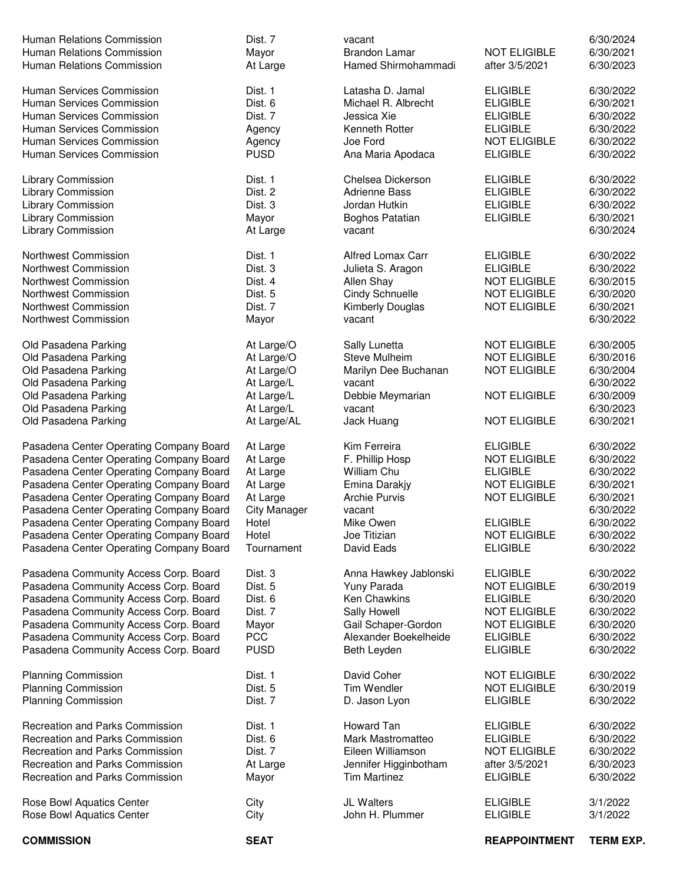| <b>COMMISSION</b>                                                  | <b>SEAT</b>         |                                              | <b>REAPPOINTMENT</b>                  | <b>TERM EXP.</b>       |
|--------------------------------------------------------------------|---------------------|----------------------------------------------|---------------------------------------|------------------------|
| Rose Bowl Aquatics Center                                          | City                | John H. Plummer                              | <b>ELIGIBLE</b>                       | 3/1/2022               |
| Rose Bowl Aquatics Center                                          | City                | JL Walters                                   | <b>ELIGIBLE</b>                       | 3/1/2022               |
|                                                                    |                     |                                              |                                       |                        |
| <b>Recreation and Parks Commission</b>                             | At Large<br>Mayor   | Jennifer Higginbotham<br><b>Tim Martinez</b> | <b>ELIGIBLE</b>                       | 6/30/2023<br>6/30/2022 |
| Recreation and Parks Commission                                    | Dist. 7             | Eileen Williamson                            | <b>NOT ELIGIBLE</b><br>after 3/5/2021 | 6/30/2022              |
| Recreation and Parks Commission<br>Recreation and Parks Commission | Dist. 6             | Mark Mastromatteo                            | <b>ELIGIBLE</b>                       | 6/30/2022              |
| <b>Recreation and Parks Commission</b>                             | Dist. 1             | Howard Tan                                   | <b>ELIGIBLE</b>                       | 6/30/2022              |
|                                                                    |                     |                                              |                                       |                        |
| <b>Planning Commission</b>                                         | Dist. 7             | D. Jason Lyon                                | <b>ELIGIBLE</b>                       | 6/30/2022              |
| <b>Planning Commission</b>                                         | Dist. 5             | Tim Wendler                                  | <b>NOT ELIGIBLE</b>                   | 6/30/2019              |
| <b>Planning Commission</b>                                         | Dist. 1             | David Coher                                  | <b>NOT ELIGIBLE</b>                   | 6/30/2022              |
|                                                                    |                     |                                              |                                       |                        |
| Pasadena Community Access Corp. Board                              | <b>PUSD</b>         | Beth Leyden                                  | <b>ELIGIBLE</b>                       | 6/30/2022              |
| Pasadena Community Access Corp. Board                              | <b>PCC</b>          | Alexander Boekelheide                        | <b>ELIGIBLE</b>                       | 6/30/2022              |
| Pasadena Community Access Corp. Board                              | Mayor               | Gail Schaper-Gordon                          | <b>NOT ELIGIBLE</b>                   | 6/30/2020              |
| Pasadena Community Access Corp. Board                              | Dist. 7             | Sally Howell                                 | <b>NOT ELIGIBLE</b>                   | 6/30/2022              |
| Pasadena Community Access Corp. Board                              | Dist. 6             | Ken Chawkins                                 | <b>ELIGIBLE</b>                       | 6/30/2020              |
| Pasadena Community Access Corp. Board                              | Dist. 5             | Yuny Parada                                  | <b>NOT ELIGIBLE</b>                   | 6/30/2019              |
| Pasadena Community Access Corp. Board                              | Dist. 3             | Anna Hawkey Jablonski                        | <b>ELIGIBLE</b>                       | 6/30/2022              |
|                                                                    |                     |                                              |                                       |                        |
| Pasadena Center Operating Company Board                            | Tournament          | David Eads                                   | <b>ELIGIBLE</b>                       | 6/30/2022              |
| Pasadena Center Operating Company Board                            | Hotel               | Joe Titizian                                 | <b>NOT ELIGIBLE</b>                   | 6/30/2022              |
| Pasadena Center Operating Company Board                            | Hotel               | Mike Owen                                    | <b>ELIGIBLE</b>                       | 6/30/2022              |
| Pasadena Center Operating Company Board                            | <b>City Manager</b> | vacant                                       |                                       | 6/30/2022              |
| Pasadena Center Operating Company Board                            | At Large            | <b>Archie Purvis</b>                         | <b>NOT ELIGIBLE</b>                   | 6/30/2021              |
| Pasadena Center Operating Company Board                            | At Large            | Emina Darakjy                                | <b>NOT ELIGIBLE</b>                   | 6/30/2021              |
| Pasadena Center Operating Company Board                            | At Large            | <b>William Chu</b>                           | <b>ELIGIBLE</b>                       | 6/30/2022              |
| Pasadena Center Operating Company Board                            | At Large            | F. Phillip Hosp                              | <b>NOT ELIGIBLE</b>                   | 6/30/2022              |
| Pasadena Center Operating Company Board                            | At Large            | Kim Ferreira                                 | <b>ELIGIBLE</b>                       | 6/30/2022              |
|                                                                    |                     |                                              |                                       |                        |
| Old Pasadena Parking                                               | At Large/AL         | Jack Huang                                   | <b>NOT ELIGIBLE</b>                   | 6/30/2021              |
| Old Pasadena Parking                                               | At Large/L          | vacant                                       |                                       | 6/30/2023              |
| Old Pasadena Parking                                               | At Large/L          | Debbie Meymarian                             | <b>NOT ELIGIBLE</b>                   | 6/30/2009              |
| Old Pasadena Parking                                               | At Large/L          | vacant                                       |                                       | 6/30/2022              |
| Old Pasadena Parking                                               | At Large/O          | Marilyn Dee Buchanan                         | <b>NOT ELIGIBLE</b>                   | 6/30/2004              |
| Old Pasadena Parking                                               | At Large/O          | Steve Mulheim                                | <b>NOT ELIGIBLE</b>                   | 6/30/2016              |
| Old Pasadena Parking                                               | At Large/O          | Sally Lunetta                                | <b>NOT ELIGIBLE</b>                   | 6/30/2005              |
|                                                                    |                     |                                              |                                       |                        |
| Northwest Commission                                               | Mayor               | vacant                                       |                                       | 6/30/2022              |
| Northwest Commission                                               | Dist. 7             | Kimberly Douglas                             | <b>NOT ELIGIBLE</b>                   | 6/30/2021              |
| Northwest Commission                                               | Dist. 5             | <b>Cindy Schnuelle</b>                       | <b>NOT ELIGIBLE</b>                   | 6/30/2020              |
| Northwest Commission                                               | Dist. 4             | Allen Shay                                   | <b>NOT ELIGIBLE</b>                   | 6/30/2015              |
| Northwest Commission                                               | Dist. 3             | Julieta S. Aragon                            | <b>ELIGIBLE</b>                       | 6/30/2022              |
| Northwest Commission                                               | Dist. 1             | <b>Alfred Lomax Carr</b>                     | <b>ELIGIBLE</b>                       | 6/30/2022              |
|                                                                    |                     |                                              |                                       |                        |
| <b>Library Commission</b>                                          | At Large            | vacant                                       |                                       | 6/30/2024              |
| Library Commission                                                 | Mayor               | Boghos Patatian                              | <b>ELIGIBLE</b>                       | 6/30/2021              |
| Library Commission                                                 | Dist. 3             | Jordan Hutkin                                | <b>ELIGIBLE</b>                       | 6/30/2022              |
| Library Commission                                                 | Dist. 2             | <b>Adrienne Bass</b>                         | <b>ELIGIBLE</b>                       | 6/30/2022              |
| Library Commission                                                 | Dist. 1             | Chelsea Dickerson                            | <b>ELIGIBLE</b>                       | 6/30/2022              |
|                                                                    |                     |                                              |                                       |                        |
| Human Services Commission                                          | <b>PUSD</b>         | Ana Maria Apodaca                            | <b>ELIGIBLE</b>                       | 6/30/2022              |
| Human Services Commission                                          | Agency              | Joe Ford                                     | <b>NOT ELIGIBLE</b>                   | 6/30/2022              |
| Human Services Commission                                          | Agency              | Kenneth Rotter                               | <b>ELIGIBLE</b>                       | 6/30/2022              |
| Human Services Commission                                          | Dist. 7             | Jessica Xie                                  | <b>ELIGIBLE</b>                       | 6/30/2022              |
| Human Services Commission                                          | Dist. 6             | Michael R. Albrecht                          | <b>ELIGIBLE</b>                       | 6/30/2021              |
| Human Services Commission                                          | Dist. 1             | Latasha D. Jamal                             | <b>ELIGIBLE</b>                       | 6/30/2022              |
|                                                                    |                     |                                              |                                       |                        |
| Human Relations Commission<br>Human Relations Commission           | Mayor<br>At Large   | <b>Brandon Lamar</b><br>Hamed Shirmohammadi  | <b>NOT ELIGIBLE</b><br>after 3/5/2021 | 6/30/2021<br>6/30/2023 |
| Human Relations Commission                                         | Dist. 7             | vacant                                       |                                       | 6/30/2024              |
|                                                                    |                     |                                              |                                       |                        |